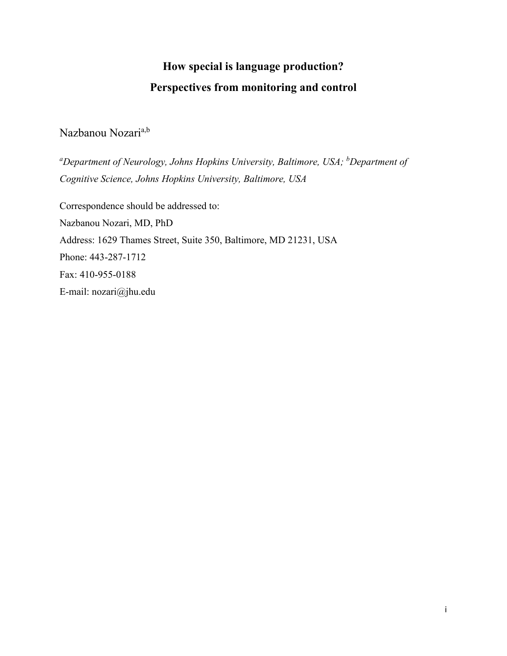# **How special is language production? Perspectives from monitoring and control**

### Nazbanou Nozari<sup>a,b</sup>

*a Department of Neurology, Johns Hopkins University, Baltimore, USA; b Department of Cognitive Science, Johns Hopkins University, Baltimore, USA*

Correspondence should be addressed to: Nazbanou Nozari, MD, PhD Address: 1629 Thames Street, Suite 350, Baltimore, MD 21231, USA Phone: 443-287-1712 Fax: 410-955-0188 E-mail: nozari@jhu.edu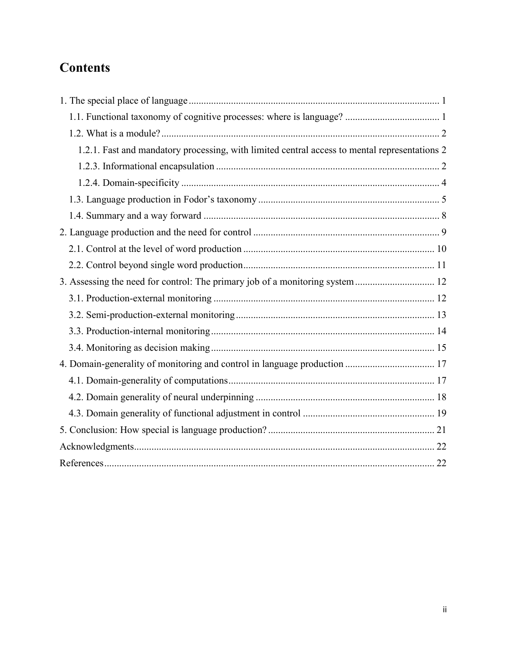# **Contents**

| 1.2.1. Fast and mandatory processing, with limited central access to mental representations 2 |
|-----------------------------------------------------------------------------------------------|
|                                                                                               |
|                                                                                               |
|                                                                                               |
|                                                                                               |
|                                                                                               |
|                                                                                               |
|                                                                                               |
| 3. Assessing the need for control: The primary job of a monitoring system 12                  |
|                                                                                               |
|                                                                                               |
|                                                                                               |
|                                                                                               |
| 4. Domain-generality of monitoring and control in language production  17                     |
|                                                                                               |
|                                                                                               |
|                                                                                               |
|                                                                                               |
|                                                                                               |
|                                                                                               |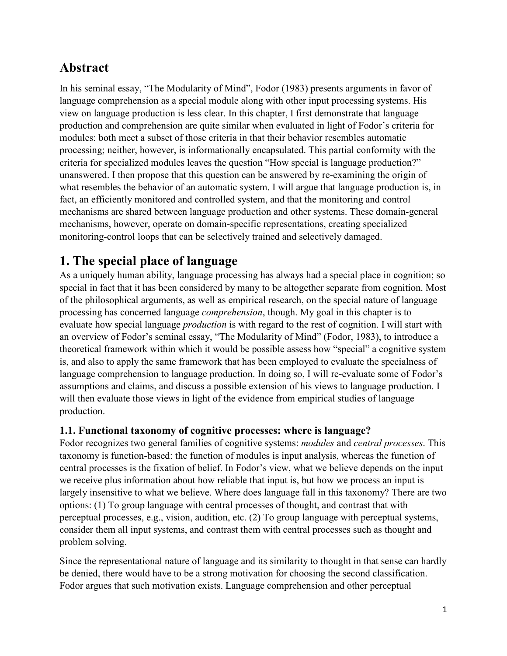# **Abstract**

In his seminal essay, "The Modularity of Mind", Fodor (1983) presents arguments in favor of language comprehension as a special module along with other input processing systems. His view on language production is less clear. In this chapter, I first demonstrate that language production and comprehension are quite similar when evaluated in light of Fodor's criteria for modules: both meet a subset of those criteria in that their behavior resembles automatic processing; neither, however, is informationally encapsulated. This partial conformity with the criteria for specialized modules leaves the question "How special is language production?" unanswered. I then propose that this question can be answered by re-examining the origin of what resembles the behavior of an automatic system. I will argue that language production is, in fact, an efficiently monitored and controlled system, and that the monitoring and control mechanisms are shared between language production and other systems. These domain-general mechanisms, however, operate on domain-specific representations, creating specialized monitoring-control loops that can be selectively trained and selectively damaged.

# <span id="page-2-0"></span>**1. The special place of language**

As a uniquely human ability, language processing has always had a special place in cognition; so special in fact that it has been considered by many to be altogether separate from cognition. Most of the philosophical arguments, as well as empirical research, on the special nature of language processing has concerned language *comprehension*, though. My goal in this chapter is to evaluate how special language *production* is with regard to the rest of cognition. I will start with an overview of Fodor's seminal essay, "The Modularity of Mind" (Fodor, 1983), to introduce a theoretical framework within which it would be possible assess how "special" a cognitive system is, and also to apply the same framework that has been employed to evaluate the specialness of language comprehension to language production. In doing so, I will re-evaluate some of Fodor's assumptions and claims, and discuss a possible extension of his views to language production. I will then evaluate those views in light of the evidence from empirical studies of language production.

### <span id="page-2-1"></span>**1.1. Functional taxonomy of cognitive processes: where is language?**

Fodor recognizes two general families of cognitive systems: *modules* and *central processes*. This taxonomy is function-based: the function of modules is input analysis, whereas the function of central processes is the fixation of belief. In Fodor's view, what we believe depends on the input we receive plus information about how reliable that input is, but how we process an input is largely insensitive to what we believe. Where does language fall in this taxonomy? There are two options: (1) To group language with central processes of thought, and contrast that with perceptual processes, e.g., vision, audition, etc. (2) To group language with perceptual systems, consider them all input systems, and contrast them with central processes such as thought and problem solving.

Since the representational nature of language and its similarity to thought in that sense can hardly be denied, there would have to be a strong motivation for choosing the second classification. Fodor argues that such motivation exists. Language comprehension and other perceptual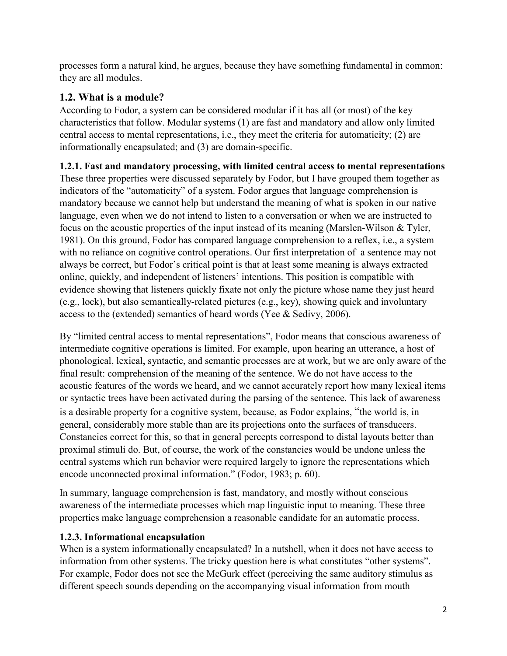processes form a natural kind, he argues, because they have something fundamental in common: they are all modules.

### <span id="page-3-0"></span>**1.2. What is a module?**

According to Fodor, a system can be considered modular if it has all (or most) of the key characteristics that follow. Modular systems (1) are fast and mandatory and allow only limited central access to mental representations, i.e., they meet the criteria for automaticity; (2) are informationally encapsulated; and (3) are domain-specific.

### <span id="page-3-1"></span>**1.2.1. Fast and mandatory processing, with limited central access to mental representations**

These three properties were discussed separately by Fodor, but I have grouped them together as indicators of the "automaticity" of a system. Fodor argues that language comprehension is mandatory because we cannot help but understand the meaning of what is spoken in our native language, even when we do not intend to listen to a conversation or when we are instructed to focus on the acoustic properties of the input instead of its meaning (Marslen-Wilson & Tyler, 1981). On this ground, Fodor has compared language comprehension to a reflex, i.e., a system with no reliance on cognitive control operations. Our first interpretation of a sentence may not always be correct, but Fodor's critical point is that at least some meaning is always extracted online, quickly, and independent of listeners' intentions. This position is compatible with evidence showing that listeners quickly fixate not only the picture whose name they just heard (e.g., lock), but also semantically-related pictures (e.g., key), showing quick and involuntary access to the (extended) semantics of heard words (Yee & Sedivy, 2006).

By "limited central access to mental representations", Fodor means that conscious awareness of intermediate cognitive operations is limited. For example, upon hearing an utterance, a host of phonological, lexical, syntactic, and semantic processes are at work, but we are only aware of the final result: comprehension of the meaning of the sentence. We do not have access to the acoustic features of the words we heard, and we cannot accurately report how many lexical items or syntactic trees have been activated during the parsing of the sentence. This lack of awareness is a desirable property for a cognitive system, because, as Fodor explains, "the world is, in general, considerably more stable than are its projections onto the surfaces of transducers. Constancies correct for this, so that in general percepts correspond to distal layouts better than proximal stimuli do. But, of course, the work of the constancies would be undone unless the central systems which run behavior were required largely to ignore the representations which encode unconnected proximal information." (Fodor, 1983; p. 60).

In summary, language comprehension is fast, mandatory, and mostly without conscious awareness of the intermediate processes which map linguistic input to meaning. These three properties make language comprehension a reasonable candidate for an automatic process.

#### <span id="page-3-2"></span>**1.2.3. Informational encapsulation**

When is a system informationally encapsulated? In a nutshell, when it does not have access to information from other systems. The tricky question here is what constitutes "other systems". For example, Fodor does not see the McGurk effect (perceiving the same auditory stimulus as different speech sounds depending on the accompanying visual information from mouth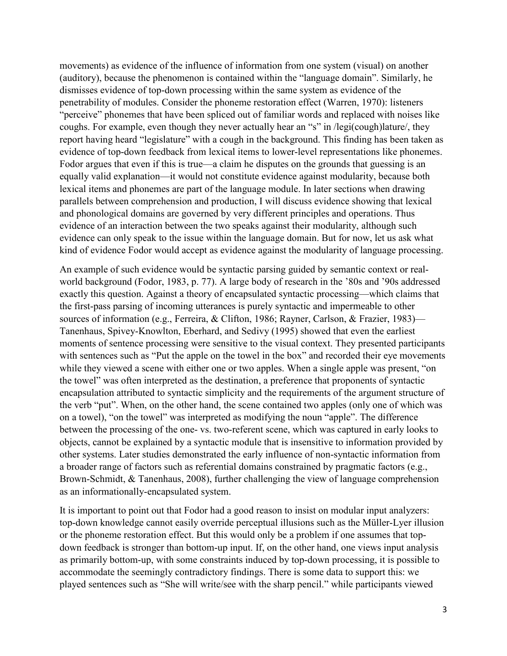movements) as evidence of the influence of information from one system (visual) on another (auditory), because the phenomenon is contained within the "language domain". Similarly, he dismisses evidence of top-down processing within the same system as evidence of the penetrability of modules. Consider the phoneme restoration effect (Warren, 1970): listeners "perceive" phonemes that have been spliced out of familiar words and replaced with noises like coughs. For example, even though they never actually hear an "s" in /legi(cough)lature/, they report having heard "legislature" with a cough in the background. This finding has been taken as evidence of top-down feedback from lexical items to lower-level representations like phonemes. Fodor argues that even if this is true—a claim he disputes on the grounds that guessing is an equally valid explanation—it would not constitute evidence against modularity, because both lexical items and phonemes are part of the language module. In later sections when drawing parallels between comprehension and production, I will discuss evidence showing that lexical and phonological domains are governed by very different principles and operations. Thus evidence of an interaction between the two speaks against their modularity, although such evidence can only speak to the issue within the language domain. But for now, let us ask what kind of evidence Fodor would accept as evidence against the modularity of language processing.

An example of such evidence would be syntactic parsing guided by semantic context or realworld background (Fodor, 1983, p. 77). A large body of research in the '80s and '90s addressed exactly this question. Against a theory of encapsulated syntactic processing—which claims that the first-pass parsing of incoming utterances is purely syntactic and impermeable to other sources of information (e.g., Ferreira, & Clifton, 1986; Rayner, Carlson, & Frazier, 1983)— Tanenhaus, Spivey-Knowlton, Eberhard, and Sedivy (1995) showed that even the earliest moments of sentence processing were sensitive to the visual context. They presented participants with sentences such as "Put the apple on the towel in the box" and recorded their eye movements while they viewed a scene with either one or two apples. When a single apple was present, "on the towel" was often interpreted as the destination, a preference that proponents of syntactic encapsulation attributed to syntactic simplicity and the requirements of the argument structure of the verb "put". When, on the other hand, the scene contained two apples (only one of which was on a towel), "on the towel" was interpreted as modifying the noun "apple". The difference between the processing of the one- vs. two-referent scene, which was captured in early looks to objects, cannot be explained by a syntactic module that is insensitive to information provided by other systems. Later studies demonstrated the early influence of non-syntactic information from a broader range of factors such as referential domains constrained by pragmatic factors (e.g., Brown-Schmidt, & Tanenhaus, 2008), further challenging the view of language comprehension as an informationally-encapsulated system.

It is important to point out that Fodor had a good reason to insist on modular input analyzers: top-down knowledge cannot easily override perceptual illusions such as the Müller-Lyer illusion or the phoneme restoration effect. But this would only be a problem if one assumes that topdown feedback is stronger than bottom-up input. If, on the other hand, one views input analysis as primarily bottom-up, with some constraints induced by top-down processing, it is possible to accommodate the seemingly contradictory findings. There is some data to support this: we played sentences such as "She will write/see with the sharp pencil." while participants viewed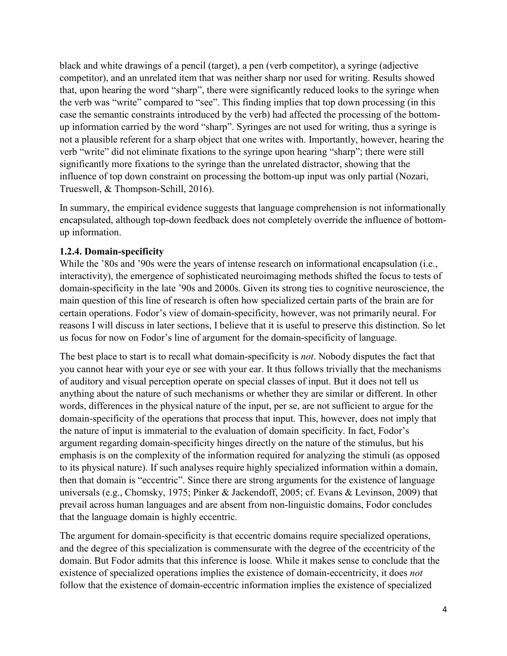black and white drawings of a pencil (target), a pen (verb competitor), a syringe (adjective competitor), and an unrelated item that was neither sharp nor used for writing. Results showed that, upon hearing the word "sharp", there were significantly reduced looks to the syringe when the verb was "write" compared to "see". This finding implies that top down processing (in this case the semantic constraints introduced by the verb) had affected the processing of the bottomup information carried by the word "sharp". Syringes are not used for writing, thus a syringe is not a plausible referent for a sharp object that one writes with. Importantly, however, hearing the verb "write" did not eliminate fixations to the syringe upon hearing "sharp"; there were still significantly more fixations to the syringe than the unrelated distractor, showing that the influence of top down constraint on processing the bottom-up input was only partial (Nozari, Trueswell, & Thompson-Schill, 2016).

In summary, the empirical evidence suggests that language comprehension is not informationally encapsulated, although top-down feedback does not completely override the influence of bottomup information.

#### <span id="page-5-0"></span>**1.2.4. Domain-specificity**

While the '80s and '90s were the years of intense research on informational encapsulation (i.e., interactivity), the emergence of sophisticated neuroimaging methods shifted the focus to tests of domain-specificity in the late '90s and 2000s. Given its strong ties to cognitive neuroscience, the main question of this line of research is often how specialized certain parts of the brain are for certain operations. Fodor's view of domain-specificity, however, was not primarily neural. For reasons I will discuss in later sections, I believe that it is useful to preserve this distinction. So let us focus for now on Fodor's line of argument for the domain-specificity of language.

The best place to start is to recall what domain-specificity is *not*. Nobody disputes the fact that you cannot hear with your eye or see with your ear. It thus follows trivially that the mechanisms of auditory and visual perception operate on special classes of input. But it does not tell us anything about the nature of such mechanisms or whether they are similar or different. In other words, differences in the physical nature of the input, per se, are not sufficient to argue for the domain-specificity of the operations that process that input. This, however, does not imply that the nature of input is immaterial to the evaluation of domain specificity. In fact, Fodor's argument regarding domain-specificity hinges directly on the nature of the stimulus, but his emphasis is on the complexity of the information required for analyzing the stimuli (as opposed to its physical nature). If such analyses require highly specialized information within a domain, then that domain is "eccentric". Since there are strong arguments for the existence of language universals (e.g., Chomsky, 1975; Pinker & Jackendoff, 2005; cf. Evans & Levinson, 2009) that prevail across human languages and are absent from non-linguistic domains, Fodor concludes that the language domain is highly eccentric.

The argument for domain-specificity is that eccentric domains require specialized operations, and the degree of this specialization is commensurate with the degree of the eccentricity of the domain. But Fodor admits that this inference is loose. While it makes sense to conclude that the existence of specialized operations implies the existence of domain-eccentricity, it does *not*  follow that the existence of domain-eccentric information implies the existence of specialized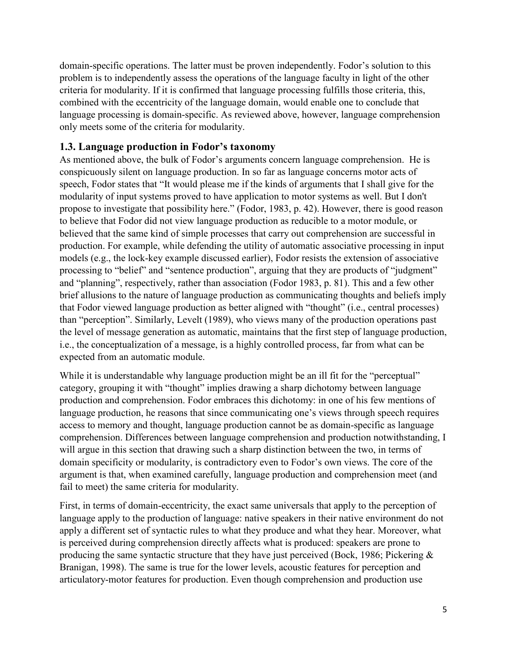domain-specific operations. The latter must be proven independently. Fodor's solution to this problem is to independently assess the operations of the language faculty in light of the other criteria for modularity. If it is confirmed that language processing fulfills those criteria, this, combined with the eccentricity of the language domain, would enable one to conclude that language processing is domain-specific. As reviewed above, however, language comprehension only meets some of the criteria for modularity.

#### <span id="page-6-0"></span>**1.3. Language production in Fodor's taxonomy**

As mentioned above, the bulk of Fodor's arguments concern language comprehension. He is conspicuously silent on language production. In so far as language concerns motor acts of speech, Fodor states that "It would please me if the kinds of arguments that I shall give for the modularity of input systems proved to have application to motor systems as well. But I don't propose to investigate that possibility here." (Fodor, 1983, p. 42). However, there is good reason to believe that Fodor did not view language production as reducible to a motor module, or believed that the same kind of simple processes that carry out comprehension are successful in production. For example, while defending the utility of automatic associative processing in input models (e.g., the lock-key example discussed earlier), Fodor resists the extension of associative processing to "belief" and "sentence production", arguing that they are products of "judgment" and "planning", respectively, rather than association (Fodor 1983, p. 81). This and a few other brief allusions to the nature of language production as communicating thoughts and beliefs imply that Fodor viewed language production as better aligned with "thought" (i.e., central processes) than "perception". Similarly, Levelt (1989), who views many of the production operations past the level of message generation as automatic, maintains that the first step of language production, i.e., the conceptualization of a message, is a highly controlled process, far from what can be expected from an automatic module.

While it is understandable why language production might be an ill fit for the "perceptual" category, grouping it with "thought" implies drawing a sharp dichotomy between language production and comprehension. Fodor embraces this dichotomy: in one of his few mentions of language production, he reasons that since communicating one's views through speech requires access to memory and thought, language production cannot be as domain-specific as language comprehension. Differences between language comprehension and production notwithstanding, I will argue in this section that drawing such a sharp distinction between the two, in terms of domain specificity or modularity, is contradictory even to Fodor's own views. The core of the argument is that, when examined carefully, language production and comprehension meet (and fail to meet) the same criteria for modularity.

First, in terms of domain-eccentricity, the exact same universals that apply to the perception of language apply to the production of language: native speakers in their native environment do not apply a different set of syntactic rules to what they produce and what they hear. Moreover, what is perceived during comprehension directly affects what is produced: speakers are prone to producing the same syntactic structure that they have just perceived (Bock, 1986; Pickering  $\&$ Branigan, 1998). The same is true for the lower levels, acoustic features for perception and articulatory-motor features for production. Even though comprehension and production use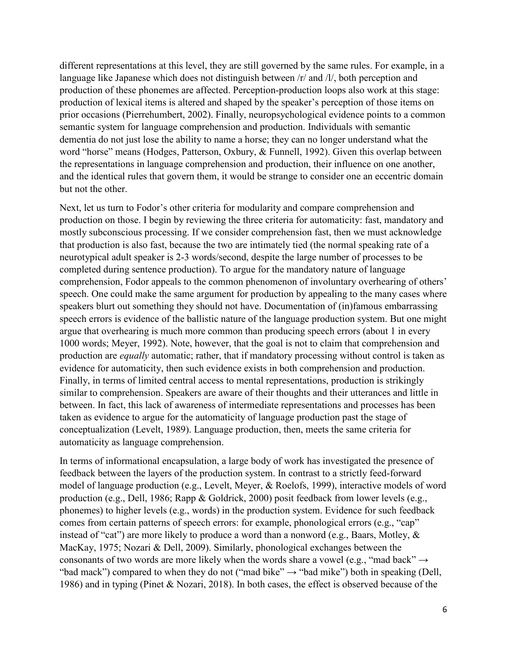different representations at this level, they are still governed by the same rules. For example, in a language like Japanese which does not distinguish between /r/ and /l/, both perception and production of these phonemes are affected. Perception-production loops also work at this stage: production of lexical items is altered and shaped by the speaker's perception of those items on prior occasions (Pierrehumbert, 2002). Finally, neuropsychological evidence points to a common semantic system for language comprehension and production. Individuals with semantic dementia do not just lose the ability to name a horse; they can no longer understand what the word "horse" means (Hodges, Patterson, Oxbury, & Funnell, 1992). Given this overlap between the representations in language comprehension and production, their influence on one another, and the identical rules that govern them, it would be strange to consider one an eccentric domain but not the other.

Next, let us turn to Fodor's other criteria for modularity and compare comprehension and production on those. I begin by reviewing the three criteria for automaticity: fast, mandatory and mostly subconscious processing. If we consider comprehension fast, then we must acknowledge that production is also fast, because the two are intimately tied (the normal speaking rate of a neurotypical adult speaker is 2-3 words/second, despite the large number of processes to be completed during sentence production). To argue for the mandatory nature of language comprehension, Fodor appeals to the common phenomenon of involuntary overhearing of others' speech. One could make the same argument for production by appealing to the many cases where speakers blurt out something they should not have. Documentation of (in)famous embarrassing speech errors is evidence of the ballistic nature of the language production system. But one might argue that overhearing is much more common than producing speech errors (about 1 in every 1000 words; Meyer, 1992). Note, however, that the goal is not to claim that comprehension and production are *equally* automatic; rather, that if mandatory processing without control is taken as evidence for automaticity, then such evidence exists in both comprehension and production. Finally, in terms of limited central access to mental representations, production is strikingly similar to comprehension. Speakers are aware of their thoughts and their utterances and little in between. In fact, this lack of awareness of intermediate representations and processes has been taken as evidence to argue for the automaticity of language production past the stage of conceptualization (Levelt, 1989). Language production, then, meets the same criteria for automaticity as language comprehension.

In terms of informational encapsulation, a large body of work has investigated the presence of feedback between the layers of the production system. In contrast to a strictly feed-forward model of language production (e.g., Levelt, Meyer, & Roelofs, 1999), interactive models of word production (e.g., Dell, 1986; Rapp & Goldrick, 2000) posit feedback from lower levels (e.g., phonemes) to higher levels (e.g., words) in the production system. Evidence for such feedback comes from certain patterns of speech errors: for example, phonological errors (e.g., "cap" instead of "cat") are more likely to produce a word than a nonword (e.g., Baars, Motley, & MacKay, 1975; Nozari & Dell, 2009). Similarly, phonological exchanges between the consonants of two words are more likely when the words share a vowel (e.g., "mad back"  $\rightarrow$ "bad mack") compared to when they do not ("mad bike"  $\rightarrow$  "bad mike") both in speaking (Dell, 1986) and in typing (Pinet & Nozari, 2018). In both cases, the effect is observed because of the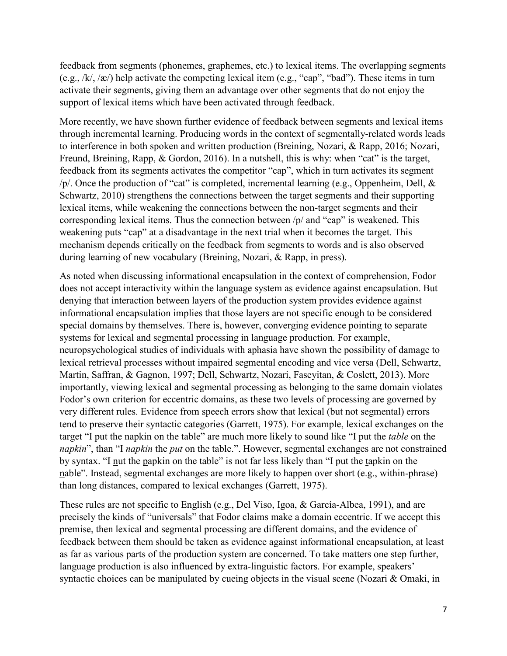feedback from segments (phonemes, graphemes, etc.) to lexical items. The overlapping segments (e.g.,  $/k/$ ,  $/\infty$ ) help activate the competing lexical item (e.g., "cap", "bad"). These items in turn activate their segments, giving them an advantage over other segments that do not enjoy the support of lexical items which have been activated through feedback.

More recently, we have shown further evidence of feedback between segments and lexical items through incremental learning. Producing words in the context of segmentally-related words leads to interference in both spoken and written production (Breining, Nozari, & Rapp, 2016; Nozari, Freund, Breining, Rapp, & Gordon, 2016). In a nutshell, this is why: when "cat" is the target, feedback from its segments activates the competitor "cap", which in turn activates its segment  $/p/$ . Once the production of "cat" is completed, incremental learning (e.g., Oppenheim, Dell, & Schwartz, 2010) strengthens the connections between the target segments and their supporting lexical items, while weakening the connections between the non-target segments and their corresponding lexical items. Thus the connection between  $/p/$  and "cap" is weakened. This weakening puts "cap" at a disadvantage in the next trial when it becomes the target. This mechanism depends critically on the feedback from segments to words and is also observed during learning of new vocabulary (Breining, Nozari, & Rapp, in press).

As noted when discussing informational encapsulation in the context of comprehension, Fodor does not accept interactivity within the language system as evidence against encapsulation. But denying that interaction between layers of the production system provides evidence against informational encapsulation implies that those layers are not specific enough to be considered special domains by themselves. There is, however, converging evidence pointing to separate systems for lexical and segmental processing in language production. For example, neuropsychological studies of individuals with aphasia have shown the possibility of damage to lexical retrieval processes without impaired segmental encoding and vice versa (Dell, Schwartz, Martin, Saffran, & Gagnon, 1997; Dell, Schwartz, Nozari, Faseyitan, & Coslett, 2013). More importantly, viewing lexical and segmental processing as belonging to the same domain violates Fodor's own criterion for eccentric domains, as these two levels of processing are governed by very different rules. Evidence from speech errors show that lexical (but not segmental) errors tend to preserve their syntactic categories (Garrett, 1975). For example, lexical exchanges on the target "I put the napkin on the table" are much more likely to sound like "I put the *table* on the *napkin*", than "I *napkin* the *put* on the table.". However, segmental exchanges are not constrained by syntax. "I nut the papkin on the table" is not far less likely than "I put the tapkin on the nable". Instead, segmental exchanges are more likely to happen over short (e.g., within-phrase) than long distances, compared to lexical exchanges (Garrett, 1975).

These rules are not specific to English (e.g., Del Viso, Igoa, & García-Albea, 1991), and are precisely the kinds of "universals" that Fodor claims make a domain eccentric. If we accept this premise, then lexical and segmental processing are different domains, and the evidence of feedback between them should be taken as evidence against informational encapsulation, at least as far as various parts of the production system are concerned. To take matters one step further, language production is also influenced by extra-linguistic factors. For example, speakers' syntactic choices can be manipulated by cueing objects in the visual scene (Nozari & Omaki, in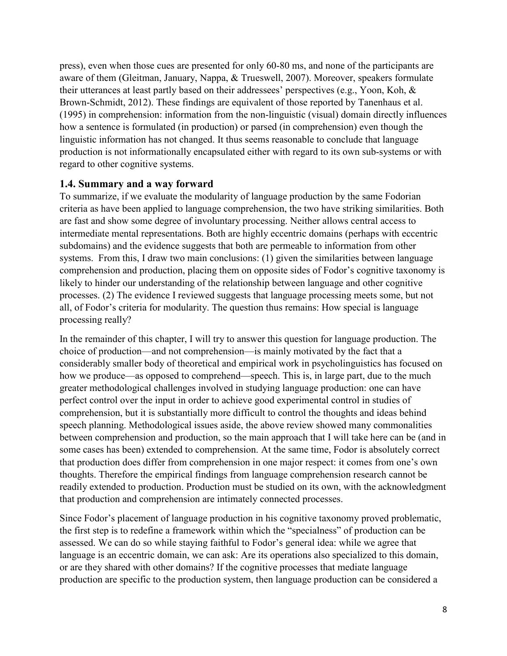press), even when those cues are presented for only 60-80 ms, and none of the participants are aware of them (Gleitman, January, Nappa, & Trueswell, 2007). Moreover, speakers formulate their utterances at least partly based on their addressees' perspectives (e.g., Yoon, Koh, & Brown-Schmidt, 2012). These findings are equivalent of those reported by Tanenhaus et al. (1995) in comprehension: information from the non-linguistic (visual) domain directly influences how a sentence is formulated (in production) or parsed (in comprehension) even though the linguistic information has not changed. It thus seems reasonable to conclude that language production is not informationally encapsulated either with regard to its own sub-systems or with regard to other cognitive systems.

#### <span id="page-9-0"></span>**1.4. Summary and a way forward**

To summarize, if we evaluate the modularity of language production by the same Fodorian criteria as have been applied to language comprehension, the two have striking similarities. Both are fast and show some degree of involuntary processing. Neither allows central access to intermediate mental representations. Both are highly eccentric domains (perhaps with eccentric subdomains) and the evidence suggests that both are permeable to information from other systems. From this, I draw two main conclusions: (1) given the similarities between language comprehension and production, placing them on opposite sides of Fodor's cognitive taxonomy is likely to hinder our understanding of the relationship between language and other cognitive processes. (2) The evidence I reviewed suggests that language processing meets some, but not all, of Fodor's criteria for modularity. The question thus remains: How special is language processing really?

In the remainder of this chapter, I will try to answer this question for language production. The choice of production—and not comprehension—is mainly motivated by the fact that a considerably smaller body of theoretical and empirical work in psycholinguistics has focused on how we produce—as opposed to comprehend—speech. This is, in large part, due to the much greater methodological challenges involved in studying language production: one can have perfect control over the input in order to achieve good experimental control in studies of comprehension, but it is substantially more difficult to control the thoughts and ideas behind speech planning. Methodological issues aside, the above review showed many commonalities between comprehension and production, so the main approach that I will take here can be (and in some cases has been) extended to comprehension. At the same time, Fodor is absolutely correct that production does differ from comprehension in one major respect: it comes from one's own thoughts. Therefore the empirical findings from language comprehension research cannot be readily extended to production. Production must be studied on its own, with the acknowledgment that production and comprehension are intimately connected processes.

Since Fodor's placement of language production in his cognitive taxonomy proved problematic, the first step is to redefine a framework within which the "specialness" of production can be assessed. We can do so while staying faithful to Fodor's general idea: while we agree that language is an eccentric domain, we can ask: Are its operations also specialized to this domain, or are they shared with other domains? If the cognitive processes that mediate language production are specific to the production system, then language production can be considered a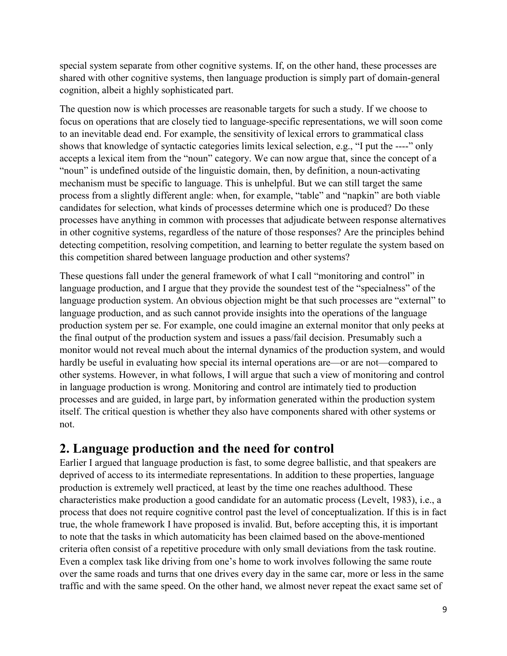special system separate from other cognitive systems. If, on the other hand, these processes are shared with other cognitive systems, then language production is simply part of domain-general cognition, albeit a highly sophisticated part.

The question now is which processes are reasonable targets for such a study. If we choose to focus on operations that are closely tied to language-specific representations, we will soon come to an inevitable dead end. For example, the sensitivity of lexical errors to grammatical class shows that knowledge of syntactic categories limits lexical selection, e.g., "I put the ----" only accepts a lexical item from the "noun" category. We can now argue that, since the concept of a "noun" is undefined outside of the linguistic domain, then, by definition, a noun-activating mechanism must be specific to language. This is unhelpful. But we can still target the same process from a slightly different angle: when, for example, "table" and "napkin" are both viable candidates for selection, what kinds of processes determine which one is produced? Do these processes have anything in common with processes that adjudicate between response alternatives in other cognitive systems, regardless of the nature of those responses? Are the principles behind detecting competition, resolving competition, and learning to better regulate the system based on this competition shared between language production and other systems?

These questions fall under the general framework of what I call "monitoring and control" in language production, and I argue that they provide the soundest test of the "specialness" of the language production system. An obvious objection might be that such processes are "external" to language production, and as such cannot provide insights into the operations of the language production system per se. For example, one could imagine an external monitor that only peeks at the final output of the production system and issues a pass/fail decision. Presumably such a monitor would not reveal much about the internal dynamics of the production system, and would hardly be useful in evaluating how special its internal operations are—or are not—compared to other systems. However, in what follows, I will argue that such a view of monitoring and control in language production is wrong. Monitoring and control are intimately tied to production processes and are guided, in large part, by information generated within the production system itself. The critical question is whether they also have components shared with other systems or not.

### <span id="page-10-0"></span>**2. Language production and the need for control**

Earlier I argued that language production is fast, to some degree ballistic, and that speakers are deprived of access to its intermediate representations. In addition to these properties, language production is extremely well practiced, at least by the time one reaches adulthood. These characteristics make production a good candidate for an automatic process (Levelt, 1983), i.e., a process that does not require cognitive control past the level of conceptualization. If this is in fact true, the whole framework I have proposed is invalid. But, before accepting this, it is important to note that the tasks in which automaticity has been claimed based on the above-mentioned criteria often consist of a repetitive procedure with only small deviations from the task routine. Even a complex task like driving from one's home to work involves following the same route over the same roads and turns that one drives every day in the same car, more or less in the same traffic and with the same speed. On the other hand, we almost never repeat the exact same set of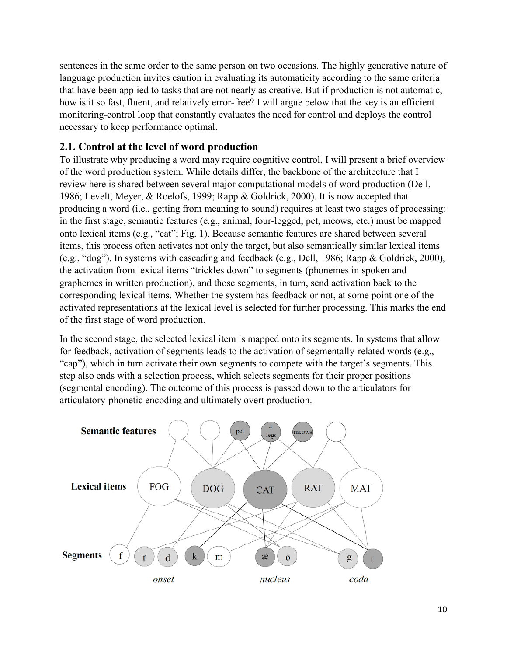sentences in the same order to the same person on two occasions. The highly generative nature of language production invites caution in evaluating its automaticity according to the same criteria that have been applied to tasks that are not nearly as creative. But if production is not automatic, how is it so fast, fluent, and relatively error-free? I will argue below that the key is an efficient monitoring-control loop that constantly evaluates the need for control and deploys the control necessary to keep performance optimal.

### <span id="page-11-0"></span>**2.1. Control at the level of word production**

To illustrate why producing a word may require cognitive control, I will present a brief overview of the word production system. While details differ, the backbone of the architecture that I review here is shared between several major computational models of word production (Dell, 1986; Levelt, Meyer, & Roelofs, 1999; Rapp & Goldrick, 2000). It is now accepted that producing a word (i.e., getting from meaning to sound) requires at least two stages of processing: in the first stage, semantic features (e.g., animal, four-legged, pet, meows, etc.) must be mapped onto lexical items (e.g., "cat"; Fig. 1). Because semantic features are shared between several items, this process often activates not only the target, but also semantically similar lexical items (e.g., "dog"). In systems with cascading and feedback (e.g., Dell, 1986; Rapp & Goldrick, 2000), the activation from lexical items "trickles down" to segments (phonemes in spoken and graphemes in written production), and those segments, in turn, send activation back to the corresponding lexical items. Whether the system has feedback or not, at some point one of the activated representations at the lexical level is selected for further processing. This marks the end of the first stage of word production.

In the second stage, the selected lexical item is mapped onto its segments. In systems that allow for feedback, activation of segments leads to the activation of segmentally-related words (e.g., "cap"), which in turn activate their own segments to compete with the target's segments. This step also ends with a selection process, which selects segments for their proper positions (segmental encoding). The outcome of this process is passed down to the articulators for articulatory-phonetic encoding and ultimately overt production.

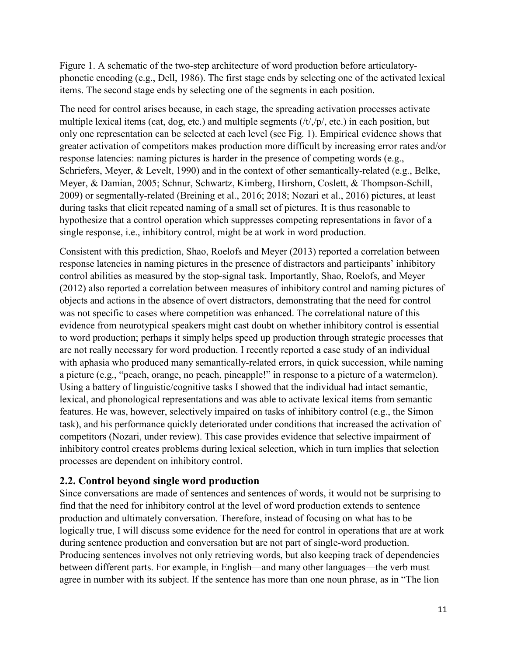Figure 1. A schematic of the two-step architecture of word production before articulatoryphonetic encoding (e.g., Dell, 1986). The first stage ends by selecting one of the activated lexical items. The second stage ends by selecting one of the segments in each position.

The need for control arises because, in each stage, the spreading activation processes activate multiple lexical items (cat, dog, etc.) and multiple segments  $/(t!/p/$ , etc.) in each position, but only one representation can be selected at each level (see Fig. 1). Empirical evidence shows that greater activation of competitors makes production more difficult by increasing error rates and/or response latencies: naming pictures is harder in the presence of competing words (e.g., Schriefers, Meyer, & Levelt, 1990) and in the context of other semantically-related (e.g., Belke, Meyer, & Damian, 2005; Schnur, Schwartz, Kimberg, Hirshorn, Coslett, & Thompson-Schill, 2009) or segmentally-related (Breining et al., 2016; 2018; Nozari et al., 2016) pictures, at least during tasks that elicit repeated naming of a small set of pictures. It is thus reasonable to hypothesize that a control operation which suppresses competing representations in favor of a single response, i.e., inhibitory control, might be at work in word production.

Consistent with this prediction, Shao, Roelofs and Meyer (2013) reported a correlation between response latencies in naming pictures in the presence of distractors and participants' inhibitory control abilities as measured by the stop-signal task. Importantly, Shao, Roelofs, and Meyer (2012) also reported a correlation between measures of inhibitory control and naming pictures of objects and actions in the absence of overt distractors, demonstrating that the need for control was not specific to cases where competition was enhanced. The correlational nature of this evidence from neurotypical speakers might cast doubt on whether inhibitory control is essential to word production; perhaps it simply helps speed up production through strategic processes that are not really necessary for word production. I recently reported a case study of an individual with aphasia who produced many semantically-related errors, in quick succession, while naming a picture (e.g., "peach, orange, no peach, pineapple!" in response to a picture of a watermelon). Using a battery of linguistic/cognitive tasks I showed that the individual had intact semantic, lexical, and phonological representations and was able to activate lexical items from semantic features. He was, however, selectively impaired on tasks of inhibitory control (e.g., the Simon task), and his performance quickly deteriorated under conditions that increased the activation of competitors (Nozari, under review). This case provides evidence that selective impairment of inhibitory control creates problems during lexical selection, which in turn implies that selection processes are dependent on inhibitory control.

#### <span id="page-12-0"></span>**2.2. Control beyond single word production**

Since conversations are made of sentences and sentences of words, it would not be surprising to find that the need for inhibitory control at the level of word production extends to sentence production and ultimately conversation. Therefore, instead of focusing on what has to be logically true, I will discuss some evidence for the need for control in operations that are at work during sentence production and conversation but are not part of single-word production. Producing sentences involves not only retrieving words, but also keeping track of dependencies between different parts. For example, in English—and many other languages—the verb must agree in number with its subject. If the sentence has more than one noun phrase, as in "The lion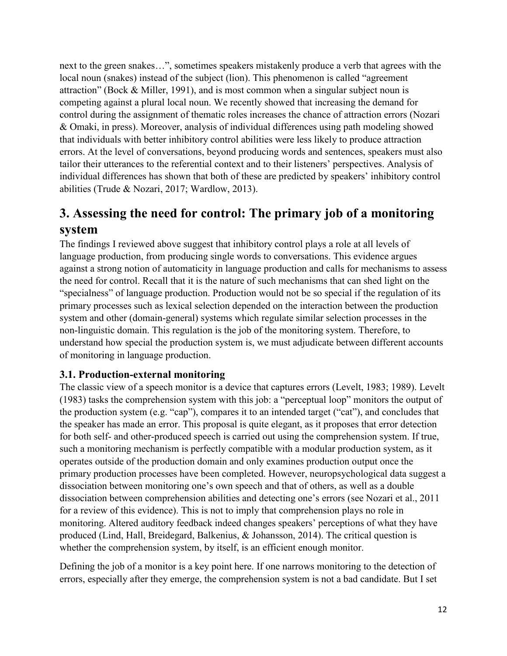next to the green snakes…", sometimes speakers mistakenly produce a verb that agrees with the local noun (snakes) instead of the subject (lion). This phenomenon is called "agreement attraction" (Bock & Miller, 1991), and is most common when a singular subject noun is competing against a plural local noun. We recently showed that increasing the demand for control during the assignment of thematic roles increases the chance of attraction errors (Nozari & Omaki, in press). Moreover, analysis of individual differences using path modeling showed that individuals with better inhibitory control abilities were less likely to produce attraction errors. At the level of conversations, beyond producing words and sentences, speakers must also tailor their utterances to the referential context and to their listeners' perspectives. Analysis of individual differences has shown that both of these are predicted by speakers' inhibitory control abilities (Trude & Nozari, 2017; Wardlow, 2013).

# <span id="page-13-0"></span>**3. Assessing the need for control: The primary job of a monitoring system**

The findings I reviewed above suggest that inhibitory control plays a role at all levels of language production, from producing single words to conversations. This evidence argues against a strong notion of automaticity in language production and calls for mechanisms to assess the need for control. Recall that it is the nature of such mechanisms that can shed light on the "specialness" of language production. Production would not be so special if the regulation of its primary processes such as lexical selection depended on the interaction between the production system and other (domain-general) systems which regulate similar selection processes in the non-linguistic domain. This regulation is the job of the monitoring system. Therefore, to understand how special the production system is, we must adjudicate between different accounts of monitoring in language production.

#### <span id="page-13-1"></span>**3.1. Production-external monitoring**

The classic view of a speech monitor is a device that captures errors (Levelt, 1983; 1989). Levelt (1983) tasks the comprehension system with this job: a "perceptual loop" monitors the output of the production system (e.g. "cap"), compares it to an intended target ("cat"), and concludes that the speaker has made an error. This proposal is quite elegant, as it proposes that error detection for both self- and other-produced speech is carried out using the comprehension system. If true, such a monitoring mechanism is perfectly compatible with a modular production system, as it operates outside of the production domain and only examines production output once the primary production processes have been completed. However, neuropsychological data suggest a dissociation between monitoring one's own speech and that of others, as well as a double dissociation between comprehension abilities and detecting one's errors (see Nozari et al., 2011 for a review of this evidence). This is not to imply that comprehension plays no role in monitoring. Altered auditory feedback indeed changes speakers' perceptions of what they have produced (Lind, Hall, Breidegard, Balkenius, & Johansson, 2014). The critical question is whether the comprehension system, by itself, is an efficient enough monitor.

Defining the job of a monitor is a key point here. If one narrows monitoring to the detection of errors, especially after they emerge, the comprehension system is not a bad candidate. But I set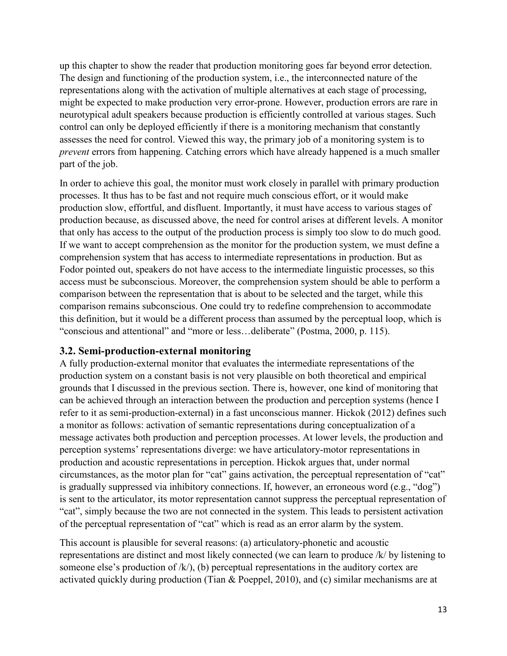up this chapter to show the reader that production monitoring goes far beyond error detection. The design and functioning of the production system, i.e., the interconnected nature of the representations along with the activation of multiple alternatives at each stage of processing, might be expected to make production very error-prone. However, production errors are rare in neurotypical adult speakers because production is efficiently controlled at various stages. Such control can only be deployed efficiently if there is a monitoring mechanism that constantly assesses the need for control. Viewed this way, the primary job of a monitoring system is to *prevent* errors from happening. Catching errors which have already happened is a much smaller part of the job.

In order to achieve this goal, the monitor must work closely in parallel with primary production processes. It thus has to be fast and not require much conscious effort, or it would make production slow, effortful, and disfluent. Importantly, it must have access to various stages of production because, as discussed above, the need for control arises at different levels. A monitor that only has access to the output of the production process is simply too slow to do much good. If we want to accept comprehension as the monitor for the production system, we must define a comprehension system that has access to intermediate representations in production. But as Fodor pointed out, speakers do not have access to the intermediate linguistic processes, so this access must be subconscious. Moreover, the comprehension system should be able to perform a comparison between the representation that is about to be selected and the target, while this comparison remains subconscious. One could try to redefine comprehension to accommodate this definition, but it would be a different process than assumed by the perceptual loop, which is "conscious and attentional" and "more or less…deliberate" (Postma, 2000, p. 115).

#### <span id="page-14-0"></span>**3.2. Semi-production-external monitoring**

A fully production-external monitor that evaluates the intermediate representations of the production system on a constant basis is not very plausible on both theoretical and empirical grounds that I discussed in the previous section. There is, however, one kind of monitoring that can be achieved through an interaction between the production and perception systems (hence I refer to it as semi-production-external) in a fast unconscious manner. Hickok (2012) defines such a monitor as follows: activation of semantic representations during conceptualization of a message activates both production and perception processes. At lower levels, the production and perception systems' representations diverge: we have articulatory-motor representations in production and acoustic representations in perception. Hickok argues that, under normal circumstances, as the motor plan for "cat" gains activation, the perceptual representation of "cat" is gradually suppressed via inhibitory connections. If, however, an erroneous word (e.g., "dog") is sent to the articulator, its motor representation cannot suppress the perceptual representation of "cat", simply because the two are not connected in the system. This leads to persistent activation of the perceptual representation of "cat" which is read as an error alarm by the system.

This account is plausible for several reasons: (a) articulatory-phonetic and acoustic representations are distinct and most likely connected (we can learn to produce /k/ by listening to someone else's production of  $/k$ ), (b) perceptual representations in the auditory cortex are activated quickly during production (Tian & Poeppel, 2010), and (c) similar mechanisms are at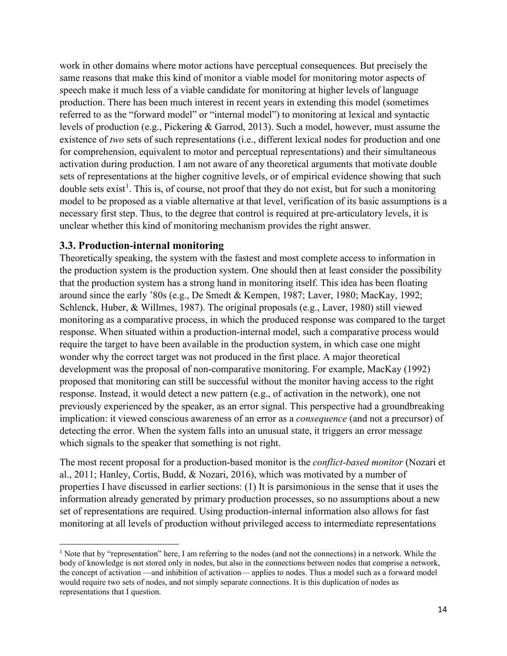work in other domains where motor actions have perceptual consequences. But precisely the same reasons that make this kind of monitor a viable model for monitoring motor aspects of speech make it much less of a viable candidate for monitoring at higher levels of language production. There has been much interest in recent years in extending this model (sometimes referred to as the "forward model" or "internal model") to monitoring at lexical and syntactic levels of production (e.g., Pickering & Garrod, 2013). Such a model, however, must assume the existence of *two* sets of such representations (i.e., different lexical nodes for production and one for comprehension, equivalent to motor and perceptual representations) and their simultaneous activation during production. I am not aware of any theoretical arguments that motivate double sets of representations at the higher cognitive levels, or of empirical evidence showing that such double sets exist<sup>[1](#page-15-1)</sup>. This is, of course, not proof that they do not exist, but for such a monitoring model to be proposed as a viable alternative at that level, verification of its basic assumptions is a necessary first step. Thus, to the degree that control is required at pre-articulatory levels, it is unclear whether this kind of monitoring mechanism provides the right answer.

#### <span id="page-15-0"></span>**3.3. Production-internal monitoring**

 $\overline{\phantom{a}}$ 

Theoretically speaking, the system with the fastest and most complete access to information in the production system is the production system. One should then at least consider the possibility that the production system has a strong hand in monitoring itself. This idea has been floating around since the early '80s (e.g., De Smedt & Kempen, 1987; Laver, 1980; MacKay, 1992; Schlenck, Huber, & Willmes, 1987). The original proposals (e.g., Laver, 1980) still viewed monitoring as a comparative process, in which the produced response was compared to the target response. When situated within a production-internal model, such a comparative process would require the target to have been available in the production system, in which case one might wonder why the correct target was not produced in the first place. A major theoretical development was the proposal of non-comparative monitoring. For example, MacKay (1992) proposed that monitoring can still be successful without the monitor having access to the right response. Instead, it would detect a new pattern (e.g., of activation in the network), one not previously experienced by the speaker, as an error signal. This perspective had a groundbreaking implication: it viewed conscious awareness of an error as a *consequence* (and not a precursor) of detecting the error. When the system falls into an unusual state, it triggers an error message which signals to the speaker that something is not right.

The most recent proposal for a production-based monitor is the *conflict-based monitor* (Nozari et al., 2011; Hanley, Cortis, Budd, & Nozari, 2016), which was motivated by a number of properties I have discussed in earlier sections: (1) It is parsimonious in the sense that it uses the information already generated by primary production processes, so no assumptions about a new set of representations are required. Using production-internal information also allows for fast monitoring at all levels of production without privileged access to intermediate representations

<span id="page-15-1"></span><sup>&</sup>lt;sup>1</sup> Note that by "representation" here, I am referring to the nodes (and not the connections) in a network. While the body of knowledge is not stored only in nodes, but also in the connections between nodes that comprise a network, the concept of activation —and inhibition of activation— applies to nodes. Thus a model such as a forward model would require two sets of nodes, and not simply separate connections. It is this duplication of nodes as representations that I question.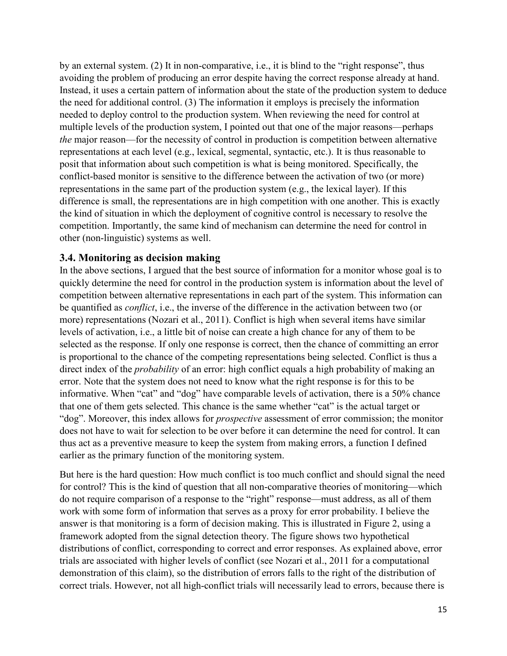by an external system. (2) It in non-comparative, i.e., it is blind to the "right response", thus avoiding the problem of producing an error despite having the correct response already at hand. Instead, it uses a certain pattern of information about the state of the production system to deduce the need for additional control. (3) The information it employs is precisely the information needed to deploy control to the production system. When reviewing the need for control at multiple levels of the production system, I pointed out that one of the major reasons—perhaps *the* major reason—for the necessity of control in production is competition between alternative representations at each level (e.g., lexical, segmental, syntactic, etc.). It is thus reasonable to posit that information about such competition is what is being monitored. Specifically, the conflict-based monitor is sensitive to the difference between the activation of two (or more) representations in the same part of the production system (e.g., the lexical layer). If this difference is small, the representations are in high competition with one another. This is exactly the kind of situation in which the deployment of cognitive control is necessary to resolve the competition. Importantly, the same kind of mechanism can determine the need for control in other (non-linguistic) systems as well.

#### <span id="page-16-0"></span>**3.4. Monitoring as decision making**

In the above sections, I argued that the best source of information for a monitor whose goal is to quickly determine the need for control in the production system is information about the level of competition between alternative representations in each part of the system. This information can be quantified as *conflict*, i.e., the inverse of the difference in the activation between two (or more) representations (Nozari et al., 2011). Conflict is high when several items have similar levels of activation, i.e., a little bit of noise can create a high chance for any of them to be selected as the response. If only one response is correct, then the chance of committing an error is proportional to the chance of the competing representations being selected. Conflict is thus a direct index of the *probability* of an error: high conflict equals a high probability of making an error. Note that the system does not need to know what the right response is for this to be informative. When "cat" and "dog" have comparable levels of activation, there is a 50% chance that one of them gets selected. This chance is the same whether "cat" is the actual target or "dog". Moreover, this index allows for *prospective* assessment of error commission; the monitor does not have to wait for selection to be over before it can determine the need for control. It can thus act as a preventive measure to keep the system from making errors, a function I defined earlier as the primary function of the monitoring system.

But here is the hard question: How much conflict is too much conflict and should signal the need for control? This is the kind of question that all non-comparative theories of monitoring—which do not require comparison of a response to the "right" response—must address, as all of them work with some form of information that serves as a proxy for error probability. I believe the answer is that monitoring is a form of decision making. This is illustrated in Figure 2, using a framework adopted from the signal detection theory. The figure shows two hypothetical distributions of conflict, corresponding to correct and error responses. As explained above, error trials are associated with higher levels of conflict (see Nozari et al., 2011 for a computational demonstration of this claim), so the distribution of errors falls to the right of the distribution of correct trials. However, not all high-conflict trials will necessarily lead to errors, because there is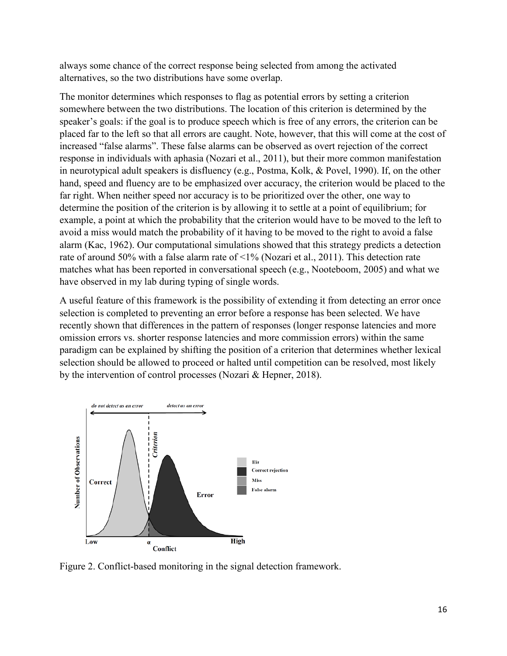always some chance of the correct response being selected from among the activated alternatives, so the two distributions have some overlap.

The monitor determines which responses to flag as potential errors by setting a criterion somewhere between the two distributions. The location of this criterion is determined by the speaker's goals: if the goal is to produce speech which is free of any errors, the criterion can be placed far to the left so that all errors are caught. Note, however, that this will come at the cost of increased "false alarms". These false alarms can be observed as overt rejection of the correct response in individuals with aphasia (Nozari et al., 2011), but their more common manifestation in neurotypical adult speakers is disfluency (e.g., Postma, Kolk, & Povel, 1990). If, on the other hand, speed and fluency are to be emphasized over accuracy, the criterion would be placed to the far right. When neither speed nor accuracy is to be prioritized over the other, one way to determine the position of the criterion is by allowing it to settle at a point of equilibrium; for example, a point at which the probability that the criterion would have to be moved to the left to avoid a miss would match the probability of it having to be moved to the right to avoid a false alarm (Kac, 1962). Our computational simulations showed that this strategy predicts a detection rate of around 50% with a false alarm rate of <1% (Nozari et al., 2011). This detection rate matches what has been reported in conversational speech (e.g., Nooteboom, 2005) and what we have observed in my lab during typing of single words.

A useful feature of this framework is the possibility of extending it from detecting an error once selection is completed to preventing an error before a response has been selected. We have recently shown that differences in the pattern of responses (longer response latencies and more omission errors vs. shorter response latencies and more commission errors) within the same paradigm can be explained by shifting the position of a criterion that determines whether lexical selection should be allowed to proceed or halted until competition can be resolved, most likely by the intervention of control processes (Nozari & Hepner, 2018).



Figure 2. Conflict-based monitoring in the signal detection framework.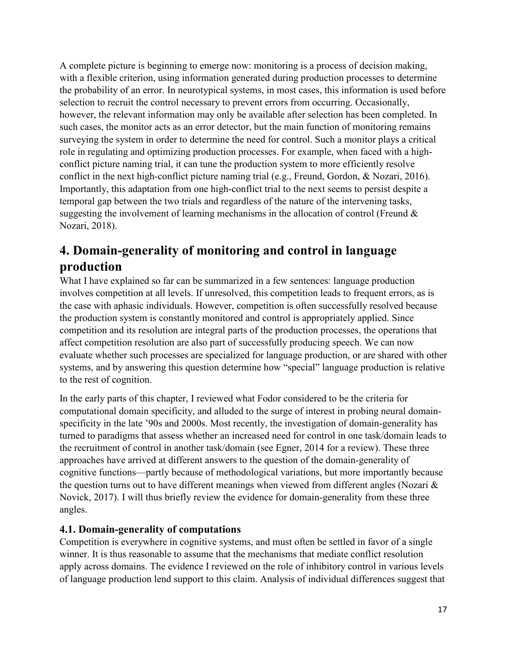A complete picture is beginning to emerge now: monitoring is a process of decision making, with a flexible criterion, using information generated during production processes to determine the probability of an error. In neurotypical systems, in most cases, this information is used before selection to recruit the control necessary to prevent errors from occurring. Occasionally, however, the relevant information may only be available after selection has been completed. In such cases, the monitor acts as an error detector, but the main function of monitoring remains surveying the system in order to determine the need for control. Such a monitor plays a critical role in regulating and optimizing production processes. For example, when faced with a highconflict picture naming trial, it can tune the production system to more efficiently resolve conflict in the next high-conflict picture naming trial (e.g., Freund, Gordon, & Nozari, 2016). Importantly, this adaptation from one high-conflict trial to the next seems to persist despite a temporal gap between the two trials and regardless of the nature of the intervening tasks, suggesting the involvement of learning mechanisms in the allocation of control (Freund  $\&$ Nozari, 2018).

# <span id="page-18-0"></span>**4. Domain-generality of monitoring and control in language production**

What I have explained so far can be summarized in a few sentences: language production involves competition at all levels. If unresolved, this competition leads to frequent errors, as is the case with aphasic individuals. However, competition is often successfully resolved because the production system is constantly monitored and control is appropriately applied. Since competition and its resolution are integral parts of the production processes, the operations that affect competition resolution are also part of successfully producing speech. We can now evaluate whether such processes are specialized for language production, or are shared with other systems, and by answering this question determine how "special" language production is relative to the rest of cognition.

In the early parts of this chapter, I reviewed what Fodor considered to be the criteria for computational domain specificity, and alluded to the surge of interest in probing neural domainspecificity in the late '90s and 2000s. Most recently, the investigation of domain-generality has turned to paradigms that assess whether an increased need for control in one task/domain leads to the recruitment of control in another task/domain (see Egner, 2014 for a review). These three approaches have arrived at different answers to the question of the domain-generality of cognitive functions—partly because of methodological variations, but more importantly because the question turns out to have different meanings when viewed from different angles (Nozari & Novick, 2017). I will thus briefly review the evidence for domain-generality from these three angles.

### <span id="page-18-1"></span>**4.1. Domain-generality of computations**

Competition is everywhere in cognitive systems, and must often be settled in favor of a single winner. It is thus reasonable to assume that the mechanisms that mediate conflict resolution apply across domains. The evidence I reviewed on the role of inhibitory control in various levels of language production lend support to this claim. Analysis of individual differences suggest that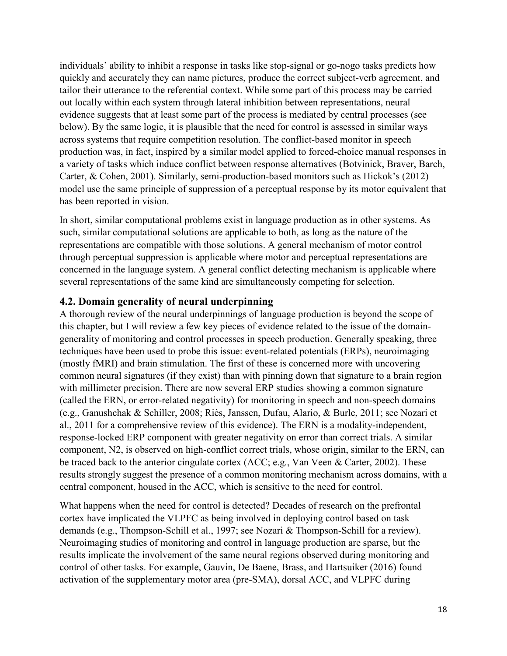individuals' ability to inhibit a response in tasks like stop-signal or go-nogo tasks predicts how quickly and accurately they can name pictures, produce the correct subject-verb agreement, and tailor their utterance to the referential context. While some part of this process may be carried out locally within each system through lateral inhibition between representations, neural evidence suggests that at least some part of the process is mediated by central processes (see below). By the same logic, it is plausible that the need for control is assessed in similar ways across systems that require competition resolution. The conflict-based monitor in speech production was, in fact, inspired by a similar model applied to forced-choice manual responses in a variety of tasks which induce conflict between response alternatives (Botvinick, Braver, Barch, Carter, & Cohen, 2001). Similarly, semi-production-based monitors such as Hickok's (2012) model use the same principle of suppression of a perceptual response by its motor equivalent that has been reported in vision.

In short, similar computational problems exist in language production as in other systems. As such, similar computational solutions are applicable to both, as long as the nature of the representations are compatible with those solutions. A general mechanism of motor control through perceptual suppression is applicable where motor and perceptual representations are concerned in the language system. A general conflict detecting mechanism is applicable where several representations of the same kind are simultaneously competing for selection.

#### <span id="page-19-0"></span>**4.2. Domain generality of neural underpinning**

A thorough review of the neural underpinnings of language production is beyond the scope of this chapter, but I will review a few key pieces of evidence related to the issue of the domaingenerality of monitoring and control processes in speech production. Generally speaking, three techniques have been used to probe this issue: event-related potentials (ERPs), neuroimaging (mostly fMRI) and brain stimulation. The first of these is concerned more with uncovering common neural signatures (if they exist) than with pinning down that signature to a brain region with millimeter precision. There are now several ERP studies showing a common signature (called the ERN, or error-related negativity) for monitoring in speech and non-speech domains (e.g., Ganushchak & Schiller, 2008; Riès, Janssen, Dufau, Alario, & Burle, 2011; see Nozari et al., 2011 for a comprehensive review of this evidence). The ERN is a modality-independent, response-locked ERP component with greater negativity on error than correct trials. A similar component, N2, is observed on high-conflict correct trials, whose origin, similar to the ERN, can be traced back to the anterior cingulate cortex (ACC; e.g., Van Veen & Carter, 2002). These results strongly suggest the presence of a common monitoring mechanism across domains, with a central component, housed in the ACC, which is sensitive to the need for control.

What happens when the need for control is detected? Decades of research on the prefrontal cortex have implicated the VLPFC as being involved in deploying control based on task demands (e.g., Thompson-Schill et al., 1997; see Nozari & Thompson-Schill for a review). Neuroimaging studies of monitoring and control in language production are sparse, but the results implicate the involvement of the same neural regions observed during monitoring and control of other tasks. For example, Gauvin, De Baene, Brass, and Hartsuiker (2016) found activation of the supplementary motor area (pre-SMA), dorsal ACC, and VLPFC during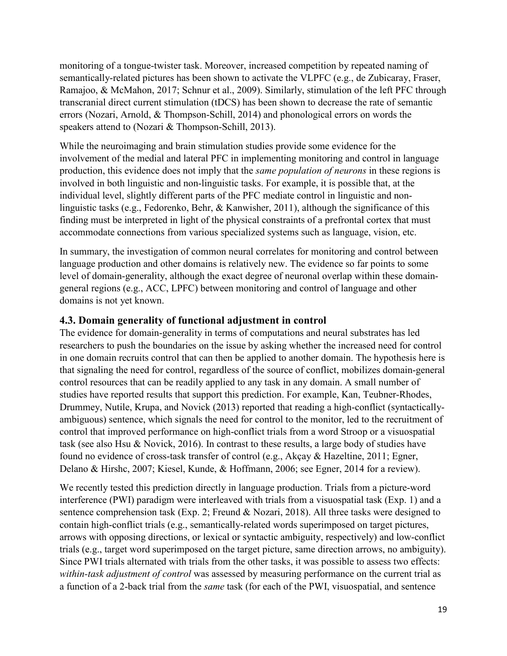monitoring of a tongue-twister task. Moreover, increased competition by repeated naming of semantically-related pictures has been shown to activate the VLPFC (e.g., de Zubicaray, Fraser, Ramajoo, & McMahon, 2017; Schnur et al., 2009). Similarly, stimulation of the left PFC through transcranial direct current stimulation (tDCS) has been shown to decrease the rate of semantic errors (Nozari, Arnold, & Thompson-Schill, 2014) and phonological errors on words the speakers attend to (Nozari & Thompson-Schill, 2013).

While the neuroimaging and brain stimulation studies provide some evidence for the involvement of the medial and lateral PFC in implementing monitoring and control in language production, this evidence does not imply that the *same population of neurons* in these regions is involved in both linguistic and non-linguistic tasks. For example, it is possible that, at the individual level, slightly different parts of the PFC mediate control in linguistic and nonlinguistic tasks (e.g., Fedorenko, Behr, & Kanwisher, 2011), although the significance of this finding must be interpreted in light of the physical constraints of a prefrontal cortex that must accommodate connections from various specialized systems such as language, vision, etc.

In summary, the investigation of common neural correlates for monitoring and control between language production and other domains is relatively new. The evidence so far points to some level of domain-generality, although the exact degree of neuronal overlap within these domaingeneral regions (e.g., ACC, LPFC) between monitoring and control of language and other domains is not yet known.

#### <span id="page-20-0"></span>**4.3. Domain generality of functional adjustment in control**

The evidence for domain-generality in terms of computations and neural substrates has led researchers to push the boundaries on the issue by asking whether the increased need for control in one domain recruits control that can then be applied to another domain. The hypothesis here is that signaling the need for control, regardless of the source of conflict, mobilizes domain-general control resources that can be readily applied to any task in any domain. A small number of studies have reported results that support this prediction. For example, Kan, Teubner-Rhodes, Drummey, Nutile, Krupa, and Novick (2013) reported that reading a high-conflict (syntacticallyambiguous) sentence, which signals the need for control to the monitor, led to the recruitment of control that improved performance on high-conflict trials from a word Stroop or a visuospatial task (see also Hsu & Novick, 2016). In contrast to these results, a large body of studies have found no evidence of cross-task transfer of control (e.g., Akçay & Hazeltine, 2011; Egner, Delano & Hirshc, 2007; Kiesel, Kunde, & Hoffmann, 2006; see Egner, 2014 for a review).

We recently tested this prediction directly in language production. Trials from a picture-word interference (PWI) paradigm were interleaved with trials from a visuospatial task (Exp. 1) and a sentence comprehension task (Exp. 2; Freund & Nozari, 2018). All three tasks were designed to contain high-conflict trials (e.g., semantically-related words superimposed on target pictures, arrows with opposing directions, or lexical or syntactic ambiguity, respectively) and low-conflict trials (e.g., target word superimposed on the target picture, same direction arrows, no ambiguity). Since PWI trials alternated with trials from the other tasks, it was possible to assess two effects: *within-task adjustment of control* was assessed by measuring performance on the current trial as a function of a 2-back trial from the *same* task (for each of the PWI, visuospatial, and sentence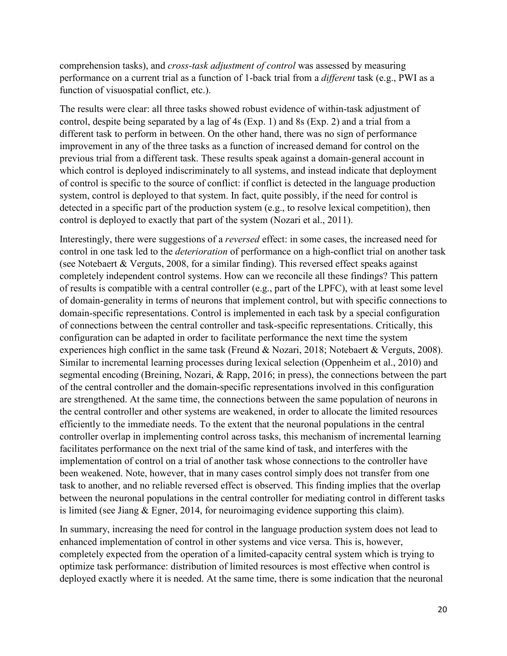comprehension tasks), and *cross-task adjustment of control* was assessed by measuring performance on a current trial as a function of 1-back trial from a *different* task (e.g., PWI as a function of visuospatial conflict, etc.).

The results were clear: all three tasks showed robust evidence of within-task adjustment of control, despite being separated by a lag of 4s (Exp. 1) and 8s (Exp. 2) and a trial from a different task to perform in between. On the other hand, there was no sign of performance improvement in any of the three tasks as a function of increased demand for control on the previous trial from a different task. These results speak against a domain-general account in which control is deployed indiscriminately to all systems, and instead indicate that deployment of control is specific to the source of conflict: if conflict is detected in the language production system, control is deployed to that system. In fact, quite possibly, if the need for control is detected in a specific part of the production system (e.g., to resolve lexical competition), then control is deployed to exactly that part of the system (Nozari et al., 2011).

Interestingly, there were suggestions of a *reversed* effect: in some cases, the increased need for control in one task led to the *deterioration* of performance on a high-conflict trial on another task (see Notebaert & Verguts, 2008, for a similar finding). This reversed effect speaks against completely independent control systems. How can we reconcile all these findings? This pattern of results is compatible with a central controller (e.g., part of the LPFC), with at least some level of domain-generality in terms of neurons that implement control, but with specific connections to domain-specific representations. Control is implemented in each task by a special configuration of connections between the central controller and task-specific representations. Critically, this configuration can be adapted in order to facilitate performance the next time the system experiences high conflict in the same task (Freund & Nozari, 2018; Notebaert & Verguts, 2008). Similar to incremental learning processes during lexical selection (Oppenheim et al., 2010) and segmental encoding (Breining, Nozari, & Rapp, 2016; in press), the connections between the part of the central controller and the domain-specific representations involved in this configuration are strengthened. At the same time, the connections between the same population of neurons in the central controller and other systems are weakened, in order to allocate the limited resources efficiently to the immediate needs. To the extent that the neuronal populations in the central controller overlap in implementing control across tasks, this mechanism of incremental learning facilitates performance on the next trial of the same kind of task, and interferes with the implementation of control on a trial of another task whose connections to the controller have been weakened. Note, however, that in many cases control simply does not transfer from one task to another, and no reliable reversed effect is observed. This finding implies that the overlap between the neuronal populations in the central controller for mediating control in different tasks is limited (see Jiang & Egner, 2014, for neuroimaging evidence supporting this claim).

In summary, increasing the need for control in the language production system does not lead to enhanced implementation of control in other systems and vice versa. This is, however, completely expected from the operation of a limited-capacity central system which is trying to optimize task performance: distribution of limited resources is most effective when control is deployed exactly where it is needed. At the same time, there is some indication that the neuronal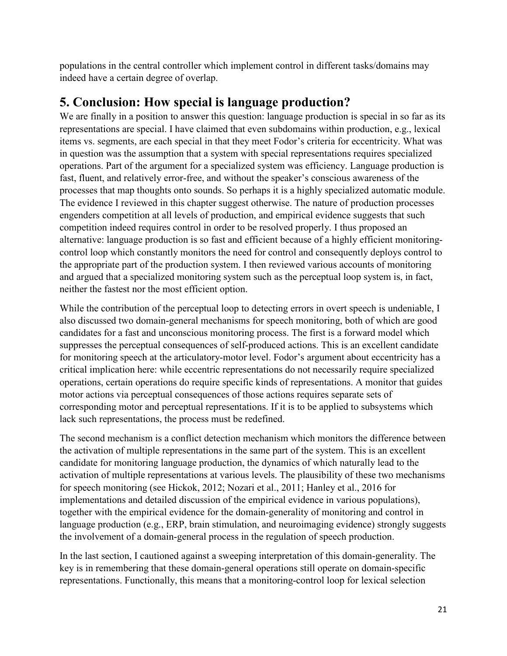populations in the central controller which implement control in different tasks/domains may indeed have a certain degree of overlap.

# <span id="page-22-0"></span>**5. Conclusion: How special is language production?**

We are finally in a position to answer this question: language production is special in so far as its representations are special. I have claimed that even subdomains within production, e.g., lexical items vs. segments, are each special in that they meet Fodor's criteria for eccentricity. What was in question was the assumption that a system with special representations requires specialized operations. Part of the argument for a specialized system was efficiency. Language production is fast, fluent, and relatively error-free, and without the speaker's conscious awareness of the processes that map thoughts onto sounds. So perhaps it is a highly specialized automatic module. The evidence I reviewed in this chapter suggest otherwise. The nature of production processes engenders competition at all levels of production, and empirical evidence suggests that such competition indeed requires control in order to be resolved properly. I thus proposed an alternative: language production is so fast and efficient because of a highly efficient monitoringcontrol loop which constantly monitors the need for control and consequently deploys control to the appropriate part of the production system. I then reviewed various accounts of monitoring and argued that a specialized monitoring system such as the perceptual loop system is, in fact, neither the fastest nor the most efficient option.

While the contribution of the perceptual loop to detecting errors in overt speech is undeniable, I also discussed two domain-general mechanisms for speech monitoring, both of which are good candidates for a fast and unconscious monitoring process. The first is a forward model which suppresses the perceptual consequences of self-produced actions. This is an excellent candidate for monitoring speech at the articulatory-motor level. Fodor's argument about eccentricity has a critical implication here: while eccentric representations do not necessarily require specialized operations, certain operations do require specific kinds of representations. A monitor that guides motor actions via perceptual consequences of those actions requires separate sets of corresponding motor and perceptual representations. If it is to be applied to subsystems which lack such representations, the process must be redefined.

The second mechanism is a conflict detection mechanism which monitors the difference between the activation of multiple representations in the same part of the system. This is an excellent candidate for monitoring language production, the dynamics of which naturally lead to the activation of multiple representations at various levels. The plausibility of these two mechanisms for speech monitoring (see Hickok, 2012; Nozari et al., 2011; Hanley et al., 2016 for implementations and detailed discussion of the empirical evidence in various populations), together with the empirical evidence for the domain-generality of monitoring and control in language production (e.g., ERP, brain stimulation, and neuroimaging evidence) strongly suggests the involvement of a domain-general process in the regulation of speech production.

In the last section, I cautioned against a sweeping interpretation of this domain-generality. The key is in remembering that these domain-general operations still operate on domain-specific representations. Functionally, this means that a monitoring-control loop for lexical selection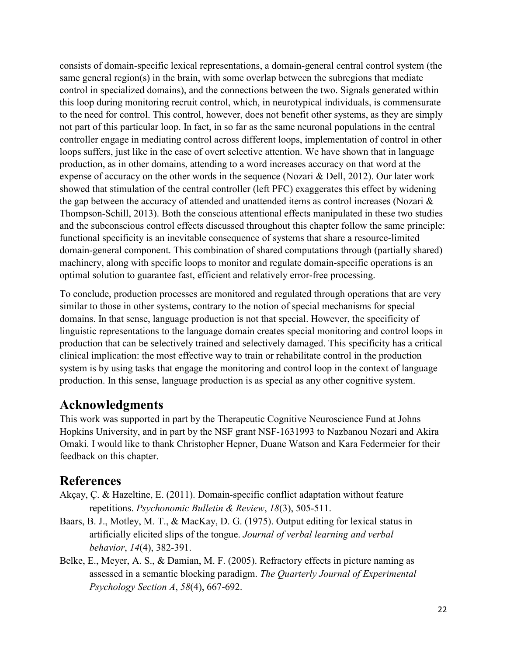consists of domain-specific lexical representations, a domain-general central control system (the same general region(s) in the brain, with some overlap between the subregions that mediate control in specialized domains), and the connections between the two. Signals generated within this loop during monitoring recruit control, which, in neurotypical individuals, is commensurate to the need for control. This control, however, does not benefit other systems, as they are simply not part of this particular loop. In fact, in so far as the same neuronal populations in the central controller engage in mediating control across different loops, implementation of control in other loops suffers, just like in the case of overt selective attention. We have shown that in language production, as in other domains, attending to a word increases accuracy on that word at the expense of accuracy on the other words in the sequence (Nozari & Dell, 2012). Our later work showed that stimulation of the central controller (left PFC) exaggerates this effect by widening the gap between the accuracy of attended and unattended items as control increases (Nozari & Thompson-Schill, 2013). Both the conscious attentional effects manipulated in these two studies and the subconscious control effects discussed throughout this chapter follow the same principle: functional specificity is an inevitable consequence of systems that share a resource-limited domain-general component. This combination of shared computations through (partially shared) machinery, along with specific loops to monitor and regulate domain-specific operations is an optimal solution to guarantee fast, efficient and relatively error-free processing.

To conclude, production processes are monitored and regulated through operations that are very similar to those in other systems, contrary to the notion of special mechanisms for special domains. In that sense, language production is not that special. However, the specificity of linguistic representations to the language domain creates special monitoring and control loops in production that can be selectively trained and selectively damaged. This specificity has a critical clinical implication: the most effective way to train or rehabilitate control in the production system is by using tasks that engage the monitoring and control loop in the context of language production. In this sense, language production is as special as any other cognitive system.

### <span id="page-23-0"></span>**Acknowledgments**

This work was supported in part by the Therapeutic Cognitive Neuroscience Fund at Johns Hopkins University, and in part by the NSF grant NSF-1631993 to Nazbanou Nozari and Akira Omaki. I would like to thank Christopher Hepner, Duane Watson and Kara Federmeier for their feedback on this chapter.

## <span id="page-23-1"></span>**References**

- Akçay, Ç. & Hazeltine, E. (2011). Domain-specific conflict adaptation without feature repetitions. *Psychonomic Bulletin & Review*, *18*(3), 505-511.
- Baars, B. J., Motley, M. T., & MacKay, D. G. (1975). Output editing for lexical status in artificially elicited slips of the tongue. *Journal of verbal learning and verbal behavior*, *14*(4), 382-391.
- Belke, E., Meyer, A. S., & Damian, M. F. (2005). Refractory effects in picture naming as assessed in a semantic blocking paradigm. *The Quarterly Journal of Experimental Psychology Section A*, *58*(4), 667-692.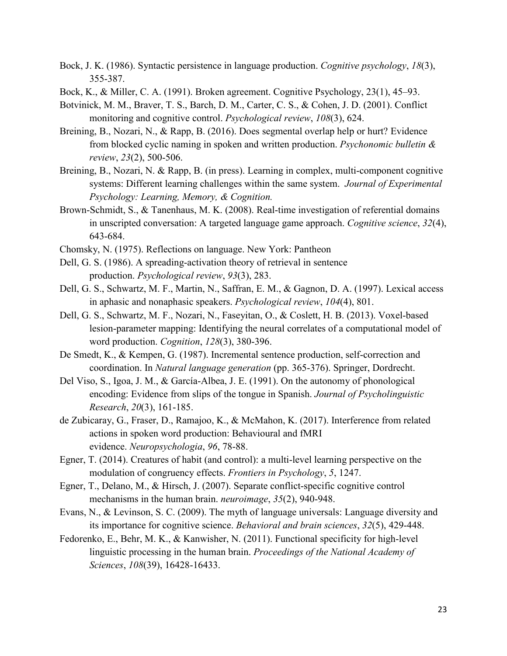- Bock, J. K. (1986). Syntactic persistence in language production. *Cognitive psychology*, *18*(3), 355-387.
- Bock, K., & Miller, C. A. (1991). Broken agreement. Cognitive Psychology, 23(1), 45–93.
- Botvinick, M. M., Braver, T. S., Barch, D. M., Carter, C. S., & Cohen, J. D. (2001). Conflict monitoring and cognitive control. *Psychological review*, *108*(3), 624.
- Breining, B., Nozari, N., & Rapp, B. (2016). Does segmental overlap help or hurt? Evidence from blocked cyclic naming in spoken and written production. *Psychonomic bulletin & review*, *23*(2), 500-506.
- Breining, B., Nozari, N. & Rapp, B. (in press). Learning in complex, multi-component cognitive systems: Different learning challenges within the same system. *Journal of Experimental Psychology: Learning, Memory, & Cognition.*
- Brown-Schmidt, S., & Tanenhaus, M. K. (2008). Real-time investigation of referential domains in unscripted conversation: A targeted language game approach. *Cognitive science*, *32*(4), 643-684.
- Chomsky, N. (1975). Reflections on language. New York: Pantheon
- Dell, G. S. (1986). A spreading-activation theory of retrieval in sentence production. *Psychological review*, *93*(3), 283.
- Dell, G. S., Schwartz, M. F., Martin, N., Saffran, E. M., & Gagnon, D. A. (1997). Lexical access in aphasic and nonaphasic speakers. *Psychological review*, *104*(4), 801.
- Dell, G. S., Schwartz, M. F., Nozari, N., Faseyitan, O., & Coslett, H. B. (2013). Voxel-based lesion-parameter mapping: Identifying the neural correlates of a computational model of word production. *Cognition*, *128*(3), 380-396.
- De Smedt, K., & Kempen, G. (1987). Incremental sentence production, self-correction and coordination. In *Natural language generation* (pp. 365-376). Springer, Dordrecht.
- Del Viso, S., Igoa, J. M., & García-Albea, J. E. (1991). On the autonomy of phonological encoding: Evidence from slips of the tongue in Spanish. *Journal of Psycholinguistic Research*, *20*(3), 161-185.
- de Zubicaray, G., Fraser, D., Ramajoo, K., & McMahon, K. (2017). Interference from related actions in spoken word production: Behavioural and fMRI evidence. *Neuropsychologia*, *96*, 78-88.
- Egner, T. (2014). Creatures of habit (and control): a multi-level learning perspective on the modulation of congruency effects. *Frontiers in Psychology*, *5*, 1247.
- Egner, T., Delano, M., & Hirsch, J. (2007). Separate conflict-specific cognitive control mechanisms in the human brain. *neuroimage*, *35*(2), 940-948.
- Evans, N., & Levinson, S. C. (2009). The myth of language universals: Language diversity and its importance for cognitive science. *Behavioral and brain sciences*, *32*(5), 429-448.
- Fedorenko, E., Behr, M. K., & Kanwisher, N. (2011). Functional specificity for high-level linguistic processing in the human brain. *Proceedings of the National Academy of Sciences*, *108*(39), 16428-16433.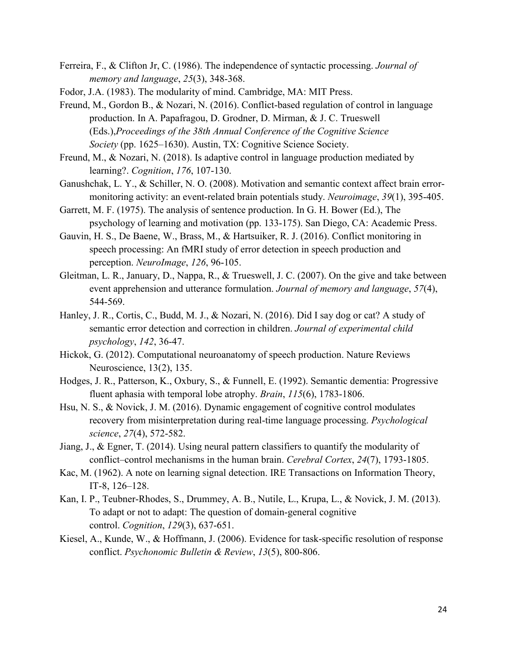Ferreira, F., & Clifton Jr, C. (1986). The independence of syntactic processing. *Journal of memory and language*, *25*(3), 348-368.

Fodor, J.A. (1983). The modularity of mind. Cambridge, MA: MIT Press.

- Freund, M., Gordon B., & Nozari, N. (2016). Conflict-based regulation of control in language production. In A. Papafragou, D. Grodner, D. Mirman, & J. C. Trueswell (Eds.),*Proceedings of the 38th Annual Conference of the Cognitive Science Society* (pp. 1625–1630). Austin, TX: Cognitive Science Society.
- Freund, M., & Nozari, N. (2018). Is adaptive control in language production mediated by learning?. *Cognition*, *176*, 107-130.
- Ganushchak, L. Y., & Schiller, N. O. (2008). Motivation and semantic context affect brain errormonitoring activity: an event-related brain potentials study. *Neuroimage*, *39*(1), 395-405.
- Garrett, M. F. (1975). The analysis of sentence production. In G. H. Bower (Ed.), The psychology of learning and motivation (pp. 133-175). San Diego, CA: Academic Press.
- Gauvin, H. S., De Baene, W., Brass, M., & Hartsuiker, R. J. (2016). Conflict monitoring in speech processing: An fMRI study of error detection in speech production and perception. *NeuroImage*, *126*, 96-105.
- Gleitman, L. R., January, D., Nappa, R., & Trueswell, J. C. (2007). On the give and take between event apprehension and utterance formulation. *Journal of memory and language*, *57*(4), 544-569.
- Hanley, J. R., Cortis, C., Budd, M. J., & Nozari, N. (2016). Did I say dog or cat? A study of semantic error detection and correction in children. *Journal of experimental child psychology*, *142*, 36-47.
- Hickok, G. (2012). Computational neuroanatomy of speech production. Nature Reviews Neuroscience, 13(2), 135.
- Hodges, J. R., Patterson, K., Oxbury, S., & Funnell, E. (1992). Semantic dementia: Progressive fluent aphasia with temporal lobe atrophy. *Brain*, *115*(6), 1783-1806.
- Hsu, N. S., & Novick, J. M. (2016). Dynamic engagement of cognitive control modulates recovery from misinterpretation during real-time language processing. *Psychological science*, *27*(4), 572-582.
- Jiang, J., & Egner, T. (2014). Using neural pattern classifiers to quantify the modularity of conflict–control mechanisms in the human brain. *Cerebral Cortex*, *24*(7), 1793-1805.
- Kac, M. (1962). A note on learning signal detection. IRE Transactions on Information Theory, IT-8, 126–128.
- Kan, I. P., Teubner-Rhodes, S., Drummey, A. B., Nutile, L., Krupa, L., & Novick, J. M. (2013). To adapt or not to adapt: The question of domain-general cognitive control. *Cognition*, *129*(3), 637-651.
- Kiesel, A., Kunde, W., & Hoffmann, J. (2006). Evidence for task-specific resolution of response conflict. *Psychonomic Bulletin & Review*, *13*(5), 800-806.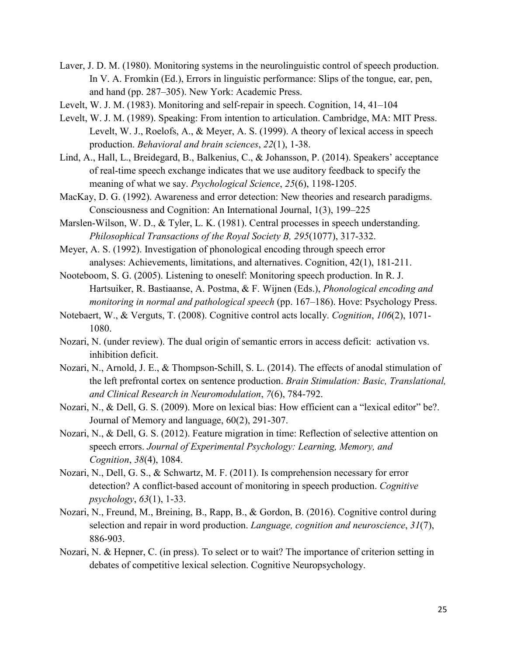- Laver, J. D. M. (1980). Monitoring systems in the neurolinguistic control of speech production. In V. A. Fromkin (Ed.), Errors in linguistic performance: Slips of the tongue, ear, pen, and hand (pp. 287–305). New York: Academic Press.
- Levelt, W. J. M. (1983). Monitoring and self-repair in speech. Cognition, 14, 41–104
- Levelt, W. J. M. (1989). Speaking: From intention to articulation. Cambridge, MA: MIT Press. Levelt, W. J., Roelofs, A., & Meyer, A. S. (1999). A theory of lexical access in speech production. *Behavioral and brain sciences*, *22*(1), 1-38.
- Lind, A., Hall, L., Breidegard, B., Balkenius, C., & Johansson, P. (2014). Speakers' acceptance of real-time speech exchange indicates that we use auditory feedback to specify the meaning of what we say. *Psychological Science*, *25*(6), 1198-1205.
- MacKay, D. G. (1992). Awareness and error detection: New theories and research paradigms. Consciousness and Cognition: An International Journal, 1(3), 199–225
- Marslen-Wilson, W. D., & Tyler, L. K. (1981). Central processes in speech understanding. *Philosophical Transactions of the Royal Society B, 295*(1077), 317-332.
- Meyer, A. S. (1992). Investigation of phonological encoding through speech error analyses: Achievements, limitations, and alternatives. Cognition, 42(1), 181-211.
- Nooteboom, S. G. (2005). Listening to oneself: Monitoring speech production. In R. J. Hartsuiker, R. Bastiaanse, A. Postma, & F. Wijnen (Eds.), *Phonological encoding and monitoring in normal and pathological speech* (pp. 167–186). Hove: Psychology Press.
- Notebaert, W., & Verguts, T. (2008). Cognitive control acts locally. *Cognition*, *106*(2), 1071- 1080.
- Nozari, N. (under review). The dual origin of semantic errors in access deficit: activation vs. inhibition deficit.
- Nozari, N., Arnold, J. E., & Thompson-Schill, S. L. (2014). The effects of anodal stimulation of the left prefrontal cortex on sentence production. *Brain Stimulation: Basic, Translational, and Clinical Research in Neuromodulation*, *7*(6), 784-792.
- Nozari, N., & Dell, G. S. (2009). More on lexical bias: How efficient can a "lexical editor" be?. Journal of Memory and language, 60(2), 291-307.
- Nozari, N., & Dell, G. S. (2012). Feature migration in time: Reflection of selective attention on speech errors. *Journal of Experimental Psychology: Learning, Memory, and Cognition*, *38*(4), 1084.
- Nozari, N., Dell, G. S., & Schwartz, M. F. (2011). Is comprehension necessary for error detection? A conflict-based account of monitoring in speech production. *Cognitive psychology*, *63*(1), 1-33.
- Nozari, N., Freund, M., Breining, B., Rapp, B., & Gordon, B. (2016). Cognitive control during selection and repair in word production. *Language, cognition and neuroscience*, *31*(7), 886-903.
- Nozari, N. & Hepner, C. (in press). To select or to wait? The importance of criterion setting in debates of competitive lexical selection. Cognitive Neuropsychology.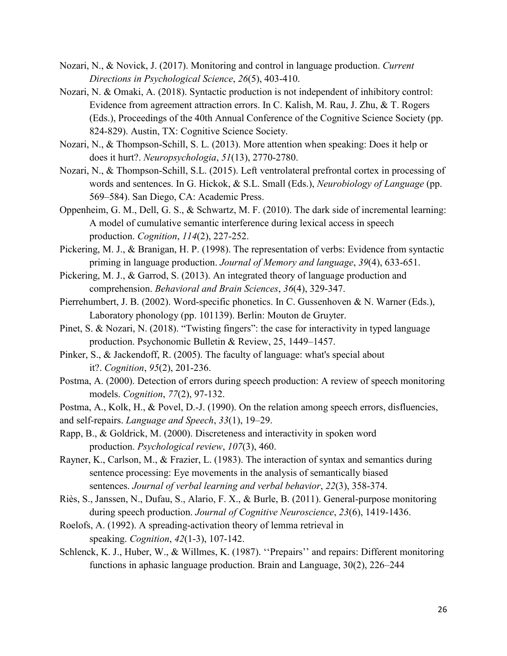- Nozari, N., & Novick, J. (2017). Monitoring and control in language production. *Current Directions in Psychological Science*, *26*(5), 403-410.
- Nozari, N. & Omaki, A. (2018). Syntactic production is not independent of inhibitory control: Evidence from agreement attraction errors. In C. Kalish, M. Rau, J. Zhu, & T. Rogers (Eds.), Proceedings of the 40th Annual Conference of the Cognitive Science Society (pp. 824-829). Austin, TX: Cognitive Science Society.
- Nozari, N., & Thompson-Schill, S. L. (2013). More attention when speaking: Does it help or does it hurt?. *Neuropsychologia*, *51*(13), 2770-2780.
- Nozari, N., & Thompson-Schill, S.L. (2015). Left ventrolateral prefrontal cortex in processing of words and sentences. In G. Hickok, & S.L. Small (Eds.), *Neurobiology of Language* (pp. 569–584). San Diego, CA: Academic Press.
- Oppenheim, G. M., Dell, G. S., & Schwartz, M. F. (2010). The dark side of incremental learning: A model of cumulative semantic interference during lexical access in speech production. *Cognition*, *114*(2), 227-252.
- Pickering, M. J., & Branigan, H. P. (1998). The representation of verbs: Evidence from syntactic priming in language production. *Journal of Memory and language*, *39*(4), 633-651.
- Pickering, M. J., & Garrod, S. (2013). An integrated theory of language production and comprehension. *Behavioral and Brain Sciences*, *36*(4), 329-347.
- Pierrehumbert, J. B. (2002). Word-specific phonetics. In C. Gussenhoven & N. Warner (Eds.), Laboratory phonology (pp. 101139). Berlin: Mouton de Gruyter.
- Pinet, S. & Nozari, N. (2018). "Twisting fingers": the case for interactivity in typed language production. Psychonomic Bulletin & Review, 25, 1449–1457.
- Pinker, S., & Jackendoff, R. (2005). The faculty of language: what's special about it?. *Cognition*, *95*(2), 201-236.
- Postma, A. (2000). Detection of errors during speech production: A review of speech monitoring models. *Cognition*, *77*(2), 97-132.
- Postma, A., Kolk, H., & Povel, D.-J. (1990). On the relation among speech errors, disfluencies, and self-repairs. *Language and Speech*, *33*(1), 19–29.
- Rapp, B., & Goldrick, M. (2000). Discreteness and interactivity in spoken word production. *Psychological review*, *107*(3), 460.
- Rayner, K., Carlson, M., & Frazier, L. (1983). The interaction of syntax and semantics during sentence processing: Eye movements in the analysis of semantically biased sentences. *Journal of verbal learning and verbal behavior*, *22*(3), 358-374.
- Riès, S., Janssen, N., Dufau, S., Alario, F. X., & Burle, B. (2011). General-purpose monitoring during speech production. *Journal of Cognitive Neuroscience*, *23*(6), 1419-1436.
- Roelofs, A. (1992). A spreading-activation theory of lemma retrieval in speaking. *Cognition*, *42*(1-3), 107-142.
- Schlenck, K. J., Huber, W., & Willmes, K. (1987). ''Prepairs'' and repairs: Different monitoring functions in aphasic language production. Brain and Language, 30(2), 226–244